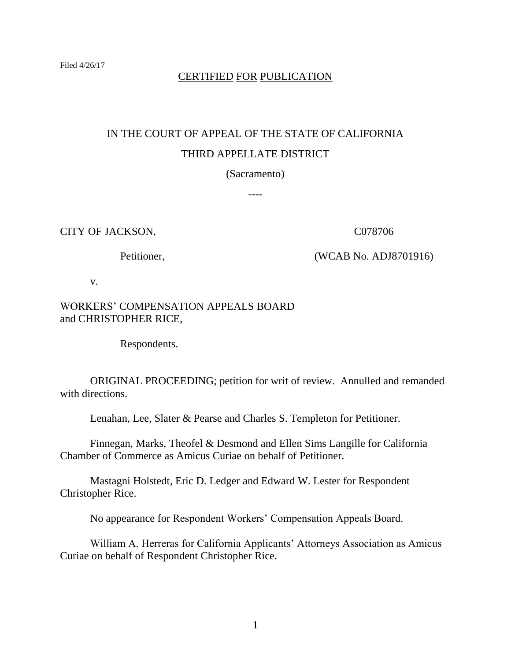# CERTIFIED FOR PUBLICATION

# IN THE COURT OF APPEAL OF THE STATE OF CALIFORNIA THIRD APPELLATE DISTRICT

(Sacramento)

----

CITY OF JACKSON,

Petitioner,

C078706

(WCAB No. ADJ8701916)

v.

# WORKERS' COMPENSATION APPEALS BOARD and CHRISTOPHER RICE,

Respondents.

ORIGINAL PROCEEDING; petition for writ of review. Annulled and remanded with directions.

Lenahan, Lee, Slater & Pearse and Charles S. Templeton for Petitioner.

Finnegan, Marks, Theofel & Desmond and Ellen Sims Langille for California Chamber of Commerce as Amicus Curiae on behalf of Petitioner.

Mastagni Holstedt, Eric D. Ledger and Edward W. Lester for Respondent Christopher Rice.

No appearance for Respondent Workers' Compensation Appeals Board.

William A. Herreras for California Applicants' Attorneys Association as Amicus Curiae on behalf of Respondent Christopher Rice.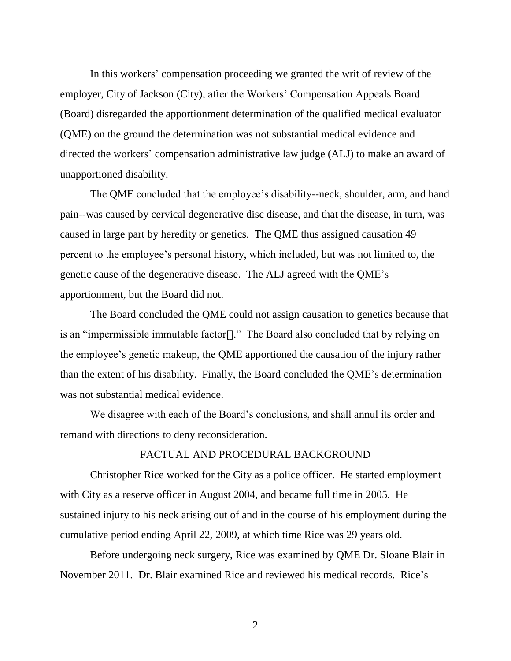In this workers' compensation proceeding we granted the writ of review of the employer, City of Jackson (City), after the Workers' Compensation Appeals Board (Board) disregarded the apportionment determination of the qualified medical evaluator (QME) on the ground the determination was not substantial medical evidence and directed the workers' compensation administrative law judge (ALJ) to make an award of unapportioned disability.

The QME concluded that the employee's disability--neck, shoulder, arm, and hand pain--was caused by cervical degenerative disc disease, and that the disease, in turn, was caused in large part by heredity or genetics. The QME thus assigned causation 49 percent to the employee's personal history, which included, but was not limited to, the genetic cause of the degenerative disease. The ALJ agreed with the QME's apportionment, but the Board did not.

The Board concluded the QME could not assign causation to genetics because that is an "impermissible immutable factor[]." The Board also concluded that by relying on the employee's genetic makeup, the QME apportioned the causation of the injury rather than the extent of his disability. Finally, the Board concluded the QME's determination was not substantial medical evidence.

We disagree with each of the Board's conclusions, and shall annul its order and remand with directions to deny reconsideration.

### FACTUAL AND PROCEDURAL BACKGROUND

Christopher Rice worked for the City as a police officer. He started employment with City as a reserve officer in August 2004, and became full time in 2005. He sustained injury to his neck arising out of and in the course of his employment during the cumulative period ending April 22, 2009, at which time Rice was 29 years old.

Before undergoing neck surgery, Rice was examined by QME Dr. Sloane Blair in November 2011. Dr. Blair examined Rice and reviewed his medical records. Rice's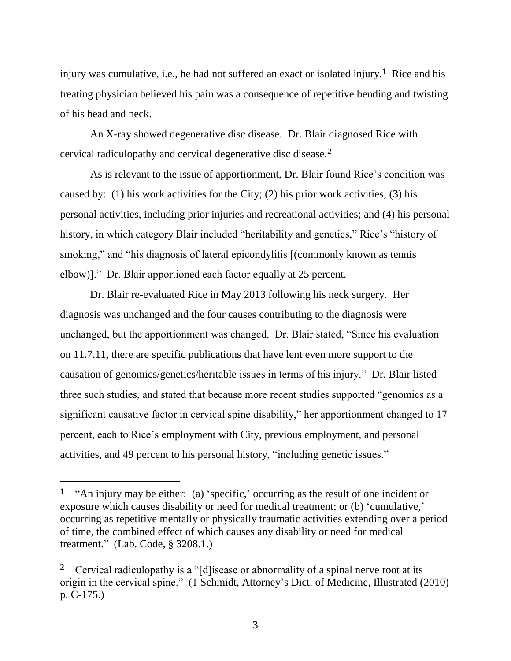injury was cumulative, i.e., he had not suffered an exact or isolated injury.**<sup>1</sup>** Rice and his treating physician believed his pain was a consequence of repetitive bending and twisting of his head and neck.

An X-ray showed degenerative disc disease. Dr. Blair diagnosed Rice with cervical radiculopathy and cervical degenerative disc disease.**<sup>2</sup>**

As is relevant to the issue of apportionment, Dr. Blair found Rice's condition was caused by: (1) his work activities for the City; (2) his prior work activities; (3) his personal activities, including prior injuries and recreational activities; and (4) his personal history, in which category Blair included "heritability and genetics," Rice's "history of smoking," and "his diagnosis of lateral epicondylitis  $[$ (commonly known as tennis elbow)]." Dr. Blair apportioned each factor equally at 25 percent.

Dr. Blair re-evaluated Rice in May 2013 following his neck surgery. Her diagnosis was unchanged and the four causes contributing to the diagnosis were unchanged, but the apportionment was changed. Dr. Blair stated, "Since his evaluation on 11.7.11, there are specific publications that have lent even more support to the causation of genomics/genetics/heritable issues in terms of his injury." Dr. Blair listed three such studies, and stated that because more recent studies supported "genomics as a significant causative factor in cervical spine disability," her apportionment changed to 17 percent, each to Rice's employment with City, previous employment, and personal activities, and 49 percent to his personal history, "including genetic issues."

 $\overline{a}$ 

**<sup>1</sup>** "An injury may be either: (a) 'specific,' occurring as the result of one incident or exposure which causes disability or need for medical treatment; or (b) 'cumulative,' occurring as repetitive mentally or physically traumatic activities extending over a period of time, the combined effect of which causes any disability or need for medical treatment." (Lab. Code, § 3208.1.)

**<sup>2</sup>** Cervical radiculopathy is a "[d]isease or abnormality of a spinal nerve root at its origin in the cervical spine." (1 Schmidt, Attorney's Dict. of Medicine, Illustrated (2010) p. C-175.)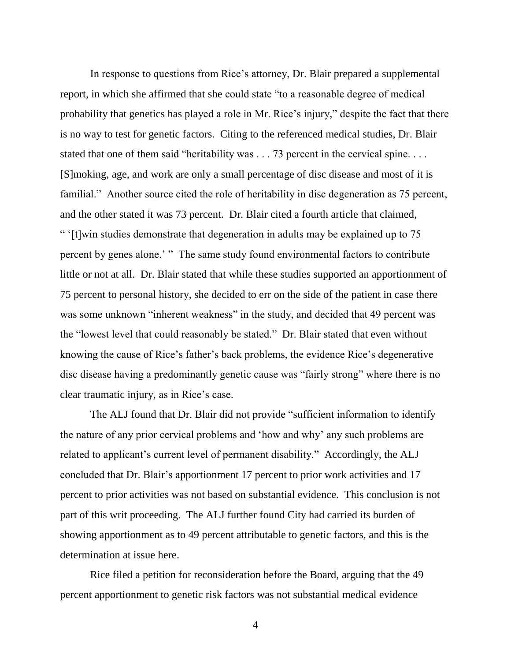In response to questions from Rice's attorney, Dr. Blair prepared a supplemental report, in which she affirmed that she could state "to a reasonable degree of medical probability that genetics has played a role in Mr. Rice's injury," despite the fact that there is no way to test for genetic factors. Citing to the referenced medical studies, Dr. Blair stated that one of them said "heritability was . . . 73 percent in the cervical spine. . . . [S]moking, age, and work are only a small percentage of disc disease and most of it is familial." Another source cited the role of heritability in disc degeneration as 75 percent, and the other stated it was 73 percent. Dr. Blair cited a fourth article that claimed, " '[t]win studies demonstrate that degeneration in adults may be explained up to 75 percent by genes alone.' " The same study found environmental factors to contribute little or not at all. Dr. Blair stated that while these studies supported an apportionment of 75 percent to personal history, she decided to err on the side of the patient in case there was some unknown "inherent weakness" in the study, and decided that 49 percent was the "lowest level that could reasonably be stated." Dr. Blair stated that even without knowing the cause of Rice's father's back problems, the evidence Rice's degenerative disc disease having a predominantly genetic cause was "fairly strong" where there is no clear traumatic injury, as in Rice's case.

The ALJ found that Dr. Blair did not provide "sufficient information to identify the nature of any prior cervical problems and 'how and why' any such problems are related to applicant's current level of permanent disability." Accordingly, the ALJ concluded that Dr. Blair's apportionment 17 percent to prior work activities and 17 percent to prior activities was not based on substantial evidence. This conclusion is not part of this writ proceeding. The ALJ further found City had carried its burden of showing apportionment as to 49 percent attributable to genetic factors, and this is the determination at issue here.

Rice filed a petition for reconsideration before the Board, arguing that the 49 percent apportionment to genetic risk factors was not substantial medical evidence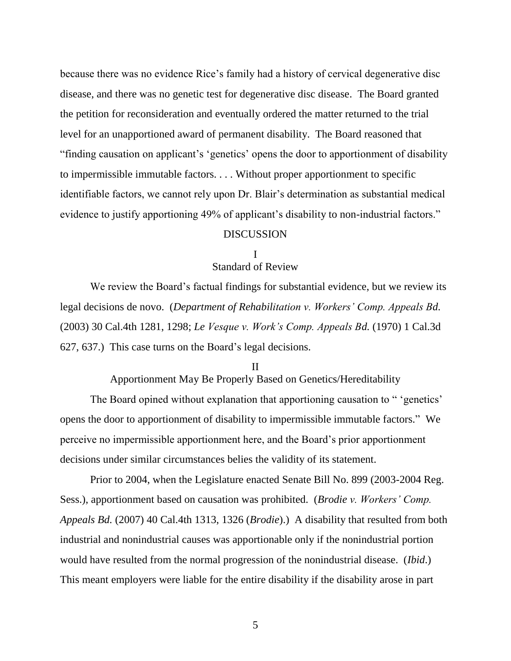because there was no evidence Rice's family had a history of cervical degenerative disc disease, and there was no genetic test for degenerative disc disease. The Board granted the petition for reconsideration and eventually ordered the matter returned to the trial level for an unapportioned award of permanent disability. The Board reasoned that "finding causation on applicant's 'genetics' opens the door to apportionment of disability to impermissible immutable factors. . . . Without proper apportionment to specific identifiable factors, we cannot rely upon Dr. Blair's determination as substantial medical evidence to justify apportioning 49% of applicant's disability to non-industrial factors."

#### DISCUSSION

#### I

## Standard of Review

We review the Board's factual findings for substantial evidence, but we review its legal decisions de novo. (*Department of Rehabilitation v. Workers' Comp. Appeals Bd.* (2003) 30 Cal.4th 1281, 1298; *Le Vesque v. Work's Comp. Appeals Bd.* (1970) 1 Cal.3d 627, 637.) This case turns on the Board's legal decisions.

#### II

Apportionment May Be Properly Based on Genetics/Hereditability

The Board opined without explanation that apportioning causation to " 'genetics' opens the door to apportionment of disability to impermissible immutable factors." We perceive no impermissible apportionment here, and the Board's prior apportionment decisions under similar circumstances belies the validity of its statement.

Prior to 2004, when the Legislature enacted Senate Bill No. 899 (2003-2004 Reg. Sess.), apportionment based on causation was prohibited. (*Brodie v. Workers' Comp. Appeals Bd.* (2007) 40 Cal.4th 1313, 1326 (*Brodie*).) A disability that resulted from both industrial and nonindustrial causes was apportionable only if the nonindustrial portion would have resulted from the normal progression of the nonindustrial disease. (*Ibid*.) This meant employers were liable for the entire disability if the disability arose in part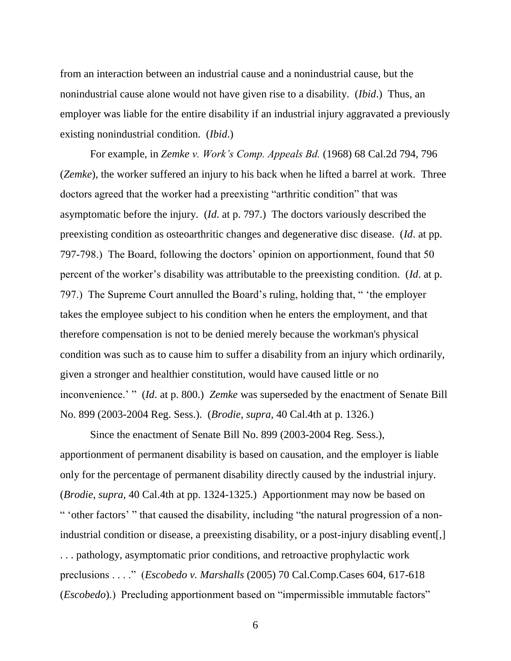from an interaction between an industrial cause and a nonindustrial cause, but the nonindustrial cause alone would not have given rise to a disability. (*Ibid*.) Thus, an employer was liable for the entire disability if an industrial injury aggravated a previously existing nonindustrial condition. (*Ibid*.)

For example, in *Zemke v. Work's Comp. Appeals Bd.* (1968) 68 Cal.2d 794, 796 (*Zemke*), the worker suffered an injury to his back when he lifted a barrel at work. Three doctors agreed that the worker had a preexisting "arthritic condition" that was asymptomatic before the injury. (*Id*. at p. 797.) The doctors variously described the preexisting condition as osteoarthritic changes and degenerative disc disease. (*Id*. at pp. 797-798.) The Board, following the doctors' opinion on apportionment, found that 50 percent of the worker's disability was attributable to the preexisting condition. (*Id*. at p. 797.) The Supreme Court annulled the Board's ruling, holding that, " 'the employer takes the employee subject to his condition when he enters the employment, and that therefore compensation is not to be denied merely because the workman's physical condition was such as to cause him to suffer a disability from an injury which ordinarily, given a stronger and healthier constitution, would have caused little or no inconvenience.' " (*Id*. at p. 800.) *Zemke* was superseded by the enactment of Senate Bill No. 899 (2003-2004 Reg. Sess.). (*Brodie*, *supra*, 40 Cal.4th at p. 1326.)

Since the enactment of Senate Bill No. 899 (2003-2004 Reg. Sess.), apportionment of permanent disability is based on causation, and the employer is liable only for the percentage of permanent disability directly caused by the industrial injury. (*Brodie*, *supra*, 40 Cal.4th at pp. 1324-1325.) Apportionment may now be based on " 'other factors' " that caused the disability, including "the natural progression of a nonindustrial condition or disease, a preexisting disability, or a post-injury disabling event[,] . . . pathology, asymptomatic prior conditions, and retroactive prophylactic work preclusions . . . ." (*Escobedo v. Marshalls* (2005) 70 Cal.Comp.Cases 604, 617-618 (*Escobedo*).) Precluding apportionment based on "impermissible immutable factors"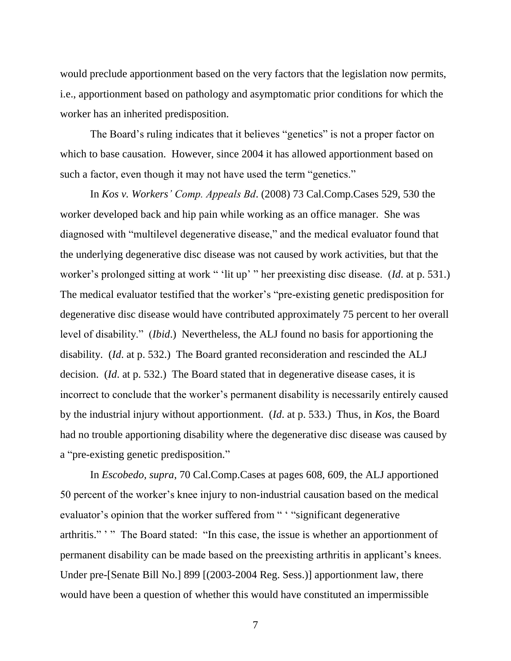would preclude apportionment based on the very factors that the legislation now permits, i.e., apportionment based on pathology and asymptomatic prior conditions for which the worker has an inherited predisposition.

The Board's ruling indicates that it believes "genetics" is not a proper factor on which to base causation. However, since 2004 it has allowed apportionment based on such a factor, even though it may not have used the term "genetics."

In *Kos v. Workers' Comp. Appeals Bd*. (2008) 73 Cal.Comp.Cases 529, 530 the worker developed back and hip pain while working as an office manager. She was diagnosed with "multilevel degenerative disease," and the medical evaluator found that the underlying degenerative disc disease was not caused by work activities, but that the worker's prolonged sitting at work " 'lit up' " her preexisting disc disease. (*Id*. at p. 531.) The medical evaluator testified that the worker's "pre-existing genetic predisposition for degenerative disc disease would have contributed approximately 75 percent to her overall level of disability." (*Ibid*.) Nevertheless, the ALJ found no basis for apportioning the disability. (*Id*. at p. 532.) The Board granted reconsideration and rescinded the ALJ decision. (*Id*. at p. 532.) The Board stated that in degenerative disease cases, it is incorrect to conclude that the worker's permanent disability is necessarily entirely caused by the industrial injury without apportionment. (*Id*. at p. 533.) Thus, in *Kos*, the Board had no trouble apportioning disability where the degenerative disc disease was caused by a "pre-existing genetic predisposition."

In *Escobedo, supra*, 70 Cal.Comp.Cases at pages 608, 609, the ALJ apportioned 50 percent of the worker's knee injury to non-industrial causation based on the medical evaluator's opinion that the worker suffered from " ' "significant degenerative arthritis." " " The Board stated: "In this case, the issue is whether an apportionment of permanent disability can be made based on the preexisting arthritis in applicant's knees. Under pre-[Senate Bill No.] 899 [(2003-2004 Reg. Sess.)] apportionment law, there would have been a question of whether this would have constituted an impermissible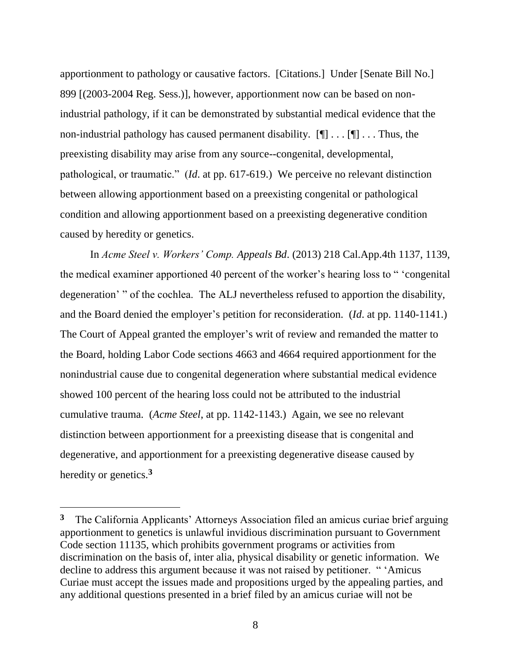apportionment to pathology or causative factors. [Citations.] Under [Senate Bill No.] 899 [(2003-2004 Reg. Sess.)], however, apportionment now can be based on nonindustrial pathology, if it can be demonstrated by substantial medical evidence that the non-industrial pathology has caused permanent disability.  $[\P] \dots [\P] \dots$  Thus, the preexisting disability may arise from any source--congenital, developmental, pathological, or traumatic." (*Id*. at pp. 617-619.) We perceive no relevant distinction between allowing apportionment based on a preexisting congenital or pathological condition and allowing apportionment based on a preexisting degenerative condition caused by heredity or genetics.

In *Acme Steel v. Workers' Comp. Appeals Bd*. (2013) 218 Cal.App.4th 1137, 1139, the medical examiner apportioned 40 percent of the worker's hearing loss to " 'congenital degeneration' " of the cochlea. The ALJ nevertheless refused to apportion the disability, and the Board denied the employer's petition for reconsideration. (*Id*. at pp. 1140-1141.) The Court of Appeal granted the employer's writ of review and remanded the matter to the Board, holding Labor Code sections 4663 and 4664 required apportionment for the nonindustrial cause due to congenital degeneration where substantial medical evidence showed 100 percent of the hearing loss could not be attributed to the industrial cumulative trauma. (*Acme Steel*, at pp. 1142-1143.) Again, we see no relevant distinction between apportionment for a preexisting disease that is congenital and degenerative, and apportionment for a preexisting degenerative disease caused by heredity or genetics.**<sup>3</sup>**

 $\overline{a}$ 

**<sup>3</sup>** The California Applicants' Attorneys Association filed an amicus curiae brief arguing apportionment to genetics is unlawful invidious discrimination pursuant to Government Code section 11135, which prohibits government programs or activities from discrimination on the basis of, inter alia, physical disability or genetic information. We decline to address this argument because it was not raised by petitioner. " 'Amicus Curiae must accept the issues made and propositions urged by the appealing parties, and any additional questions presented in a brief filed by an amicus curiae will not be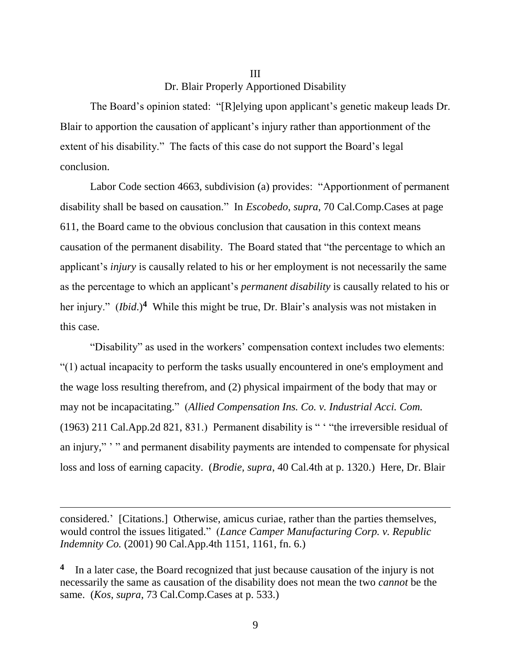# III Dr. Blair Properly Apportioned Disability

The Board's opinion stated: "[R]elying upon applicant's genetic makeup leads Dr. Blair to apportion the causation of applicant's injury rather than apportionment of the extent of his disability." The facts of this case do not support the Board's legal conclusion.

Labor Code section 4663, subdivision (a) provides: "Apportionment of permanent disability shall be based on causation." In *Escobedo*, *supra*, 70 Cal.Comp.Cases at page 611, the Board came to the obvious conclusion that causation in this context means causation of the permanent disability. The Board stated that "the percentage to which an applicant's *injury* is causally related to his or her employment is not necessarily the same as the percentage to which an applicant's *permanent disability* is causally related to his or her injury." (*Ibid*.)**<sup>4</sup>** While this might be true, Dr. Blair's analysis was not mistaken in this case.

"Disability" as used in the workers' compensation context includes two elements: "(1) actual incapacity to perform the tasks usually encountered in one's employment and the wage loss resulting therefrom, and (2) physical impairment of the body that may or may not be incapacitating." (*Allied Compensation Ins. Co. v. Industrial Acci. Com.* (1963) 211 Cal.App.2d 821, 831.) Permanent disability is " ' "the irreversible residual of an injury," ' " and permanent disability payments are intended to compensate for physical loss and loss of earning capacity. (*Brodie, supra*, 40 Cal.4th at p. 1320.) Here, Dr. Blair

considered.' [Citations.] Otherwise, amicus curiae, rather than the parties themselves, would control the issues litigated." (*Lance Camper Manufacturing Corp. v. Republic Indemnity Co.* (2001) 90 Cal.App.4th 1151, 1161, fn. 6.)

 $\overline{a}$ 

<sup>4</sup> In a later case, the Board recognized that just because causation of the injury is not necessarily the same as causation of the disability does not mean the two *cannot* be the same. (*Kos*, *supra*, 73 Cal.Comp.Cases at p. 533.)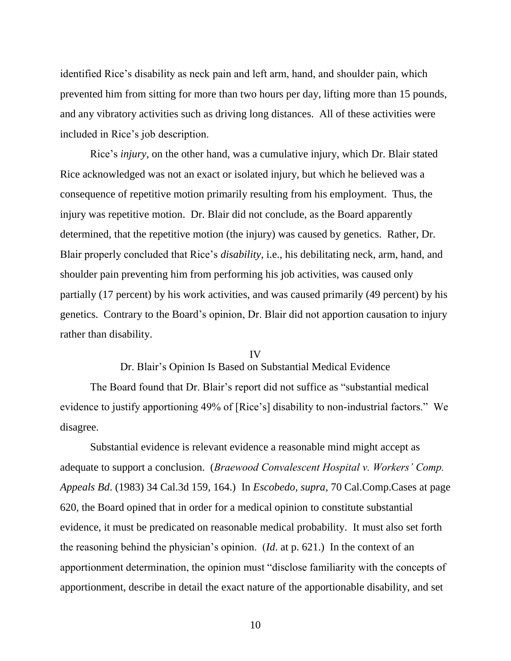identified Rice's disability as neck pain and left arm, hand, and shoulder pain, which prevented him from sitting for more than two hours per day, lifting more than 15 pounds, and any vibratory activities such as driving long distances. All of these activities were included in Rice's job description.

Rice's *injury*, on the other hand, was a cumulative injury, which Dr. Blair stated Rice acknowledged was not an exact or isolated injury, but which he believed was a consequence of repetitive motion primarily resulting from his employment. Thus, the injury was repetitive motion. Dr. Blair did not conclude, as the Board apparently determined, that the repetitive motion (the injury) was caused by genetics. Rather, Dr. Blair properly concluded that Rice's *disability*, i.e., his debilitating neck, arm, hand, and shoulder pain preventing him from performing his job activities, was caused only partially (17 percent) by his work activities, and was caused primarily (49 percent) by his genetics. Contrary to the Board's opinion, Dr. Blair did not apportion causation to injury rather than disability.

#### IV

Dr. Blair's Opinion Is Based on Substantial Medical Evidence

The Board found that Dr. Blair's report did not suffice as "substantial medical evidence to justify apportioning 49% of [Rice's] disability to non-industrial factors." We disagree.

Substantial evidence is relevant evidence a reasonable mind might accept as adequate to support a conclusion. (*Braewood Convalescent Hospital v. Workers' Comp. Appeals Bd*. (1983) 34 Cal.3d 159, 164.) In *Escobedo, supra*, 70 Cal.Comp.Cases at page 620*,* the Board opined that in order for a medical opinion to constitute substantial evidence, it must be predicated on reasonable medical probability. It must also set forth the reasoning behind the physician's opinion. (*Id*. at p. 621.) In the context of an apportionment determination, the opinion must "disclose familiarity with the concepts of apportionment, describe in detail the exact nature of the apportionable disability, and set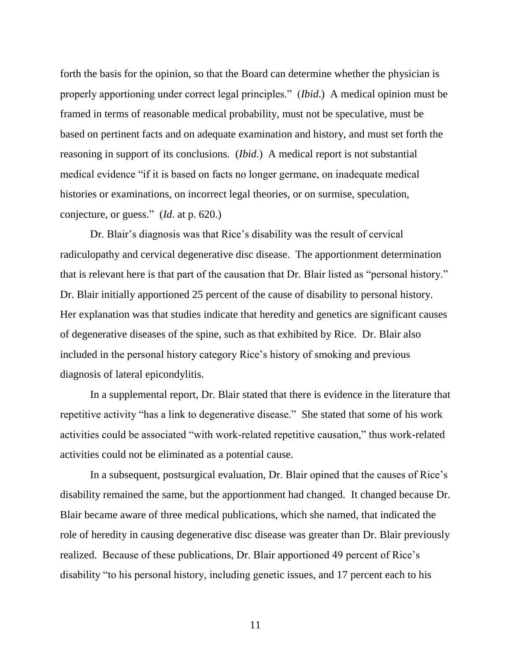forth the basis for the opinion, so that the Board can determine whether the physician is properly apportioning under correct legal principles." (*Ibid*.) A medical opinion must be framed in terms of reasonable medical probability, must not be speculative, must be based on pertinent facts and on adequate examination and history, and must set forth the reasoning in support of its conclusions. (*Ibid*.) A medical report is not substantial medical evidence "if it is based on facts no longer germane, on inadequate medical histories or examinations, on incorrect legal theories, or on surmise, speculation, conjecture, or guess." (*Id*. at p. 620.)

Dr. Blair's diagnosis was that Rice's disability was the result of cervical radiculopathy and cervical degenerative disc disease. The apportionment determination that is relevant here is that part of the causation that Dr. Blair listed as "personal history." Dr. Blair initially apportioned 25 percent of the cause of disability to personal history. Her explanation was that studies indicate that heredity and genetics are significant causes of degenerative diseases of the spine, such as that exhibited by Rice. Dr. Blair also included in the personal history category Rice's history of smoking and previous diagnosis of lateral epicondylitis.

In a supplemental report, Dr. Blair stated that there is evidence in the literature that repetitive activity "has a link to degenerative disease." She stated that some of his work activities could be associated "with work-related repetitive causation," thus work-related activities could not be eliminated as a potential cause.

In a subsequent, postsurgical evaluation, Dr. Blair opined that the causes of Rice's disability remained the same, but the apportionment had changed. It changed because Dr. Blair became aware of three medical publications, which she named, that indicated the role of heredity in causing degenerative disc disease was greater than Dr. Blair previously realized. Because of these publications, Dr. Blair apportioned 49 percent of Rice's disability "to his personal history, including genetic issues, and 17 percent each to his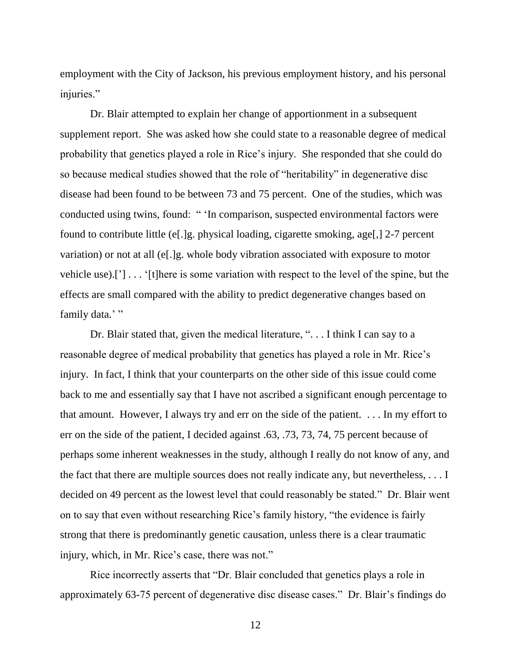employment with the City of Jackson, his previous employment history, and his personal injuries."

Dr. Blair attempted to explain her change of apportionment in a subsequent supplement report. She was asked how she could state to a reasonable degree of medical probability that genetics played a role in Rice's injury. She responded that she could do so because medical studies showed that the role of "heritability" in degenerative disc disease had been found to be between 73 and 75 percent. One of the studies, which was conducted using twins, found: " 'In comparison, suspected environmental factors were found to contribute little (e[.]g. physical loading, cigarette smoking, age[,] 2-7 percent variation) or not at all (e[.]g. whole body vibration associated with exposure to motor vehicle use).['] . . . '[t]here is some variation with respect to the level of the spine, but the effects are small compared with the ability to predict degenerative changes based on family data.'"

Dr. Blair stated that, given the medical literature, "... I think I can say to a reasonable degree of medical probability that genetics has played a role in Mr. Rice's injury. In fact, I think that your counterparts on the other side of this issue could come back to me and essentially say that I have not ascribed a significant enough percentage to that amount. However, I always try and err on the side of the patient. . . . In my effort to err on the side of the patient, I decided against .63, .73, 73, 74, 75 percent because of perhaps some inherent weaknesses in the study, although I really do not know of any, and the fact that there are multiple sources does not really indicate any, but nevertheless, . . . I decided on 49 percent as the lowest level that could reasonably be stated." Dr. Blair went on to say that even without researching Rice's family history, "the evidence is fairly strong that there is predominantly genetic causation, unless there is a clear traumatic injury, which, in Mr. Rice's case, there was not."

Rice incorrectly asserts that "Dr. Blair concluded that genetics plays a role in approximately 63-75 percent of degenerative disc disease cases." Dr. Blair's findings do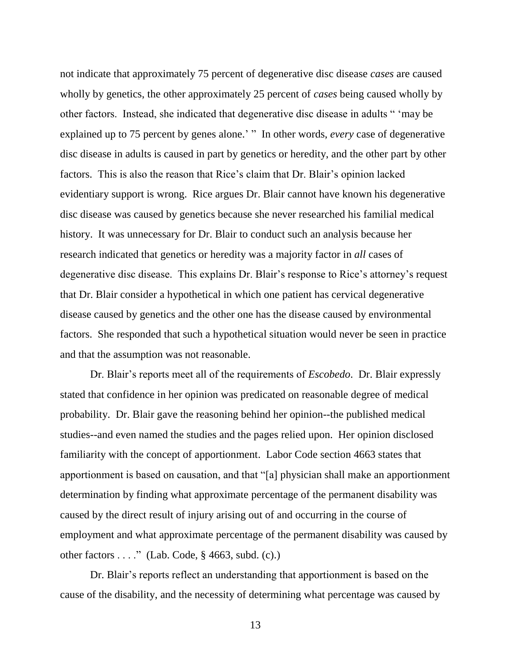not indicate that approximately 75 percent of degenerative disc disease *cases* are caused wholly by genetics, the other approximately 25 percent of *cases* being caused wholly by other factors. Instead, she indicated that degenerative disc disease in adults " 'may be explained up to 75 percent by genes alone.' " In other words, *every* case of degenerative disc disease in adults is caused in part by genetics or heredity, and the other part by other factors. This is also the reason that Rice's claim that Dr. Blair's opinion lacked evidentiary support is wrong. Rice argues Dr. Blair cannot have known his degenerative disc disease was caused by genetics because she never researched his familial medical history. It was unnecessary for Dr. Blair to conduct such an analysis because her research indicated that genetics or heredity was a majority factor in *all* cases of degenerative disc disease. This explains Dr. Blair's response to Rice's attorney's request that Dr. Blair consider a hypothetical in which one patient has cervical degenerative disease caused by genetics and the other one has the disease caused by environmental factors. She responded that such a hypothetical situation would never be seen in practice and that the assumption was not reasonable.

Dr. Blair's reports meet all of the requirements of *Escobedo*. Dr. Blair expressly stated that confidence in her opinion was predicated on reasonable degree of medical probability. Dr. Blair gave the reasoning behind her opinion--the published medical studies--and even named the studies and the pages relied upon. Her opinion disclosed familiarity with the concept of apportionment. Labor Code section 4663 states that apportionment is based on causation, and that "[a] physician shall make an apportionment determination by finding what approximate percentage of the permanent disability was caused by the direct result of injury arising out of and occurring in the course of employment and what approximate percentage of the permanent disability was caused by other factors . . . ." (Lab. Code, § 4663, subd. (c).)

Dr. Blair's reports reflect an understanding that apportionment is based on the cause of the disability, and the necessity of determining what percentage was caused by